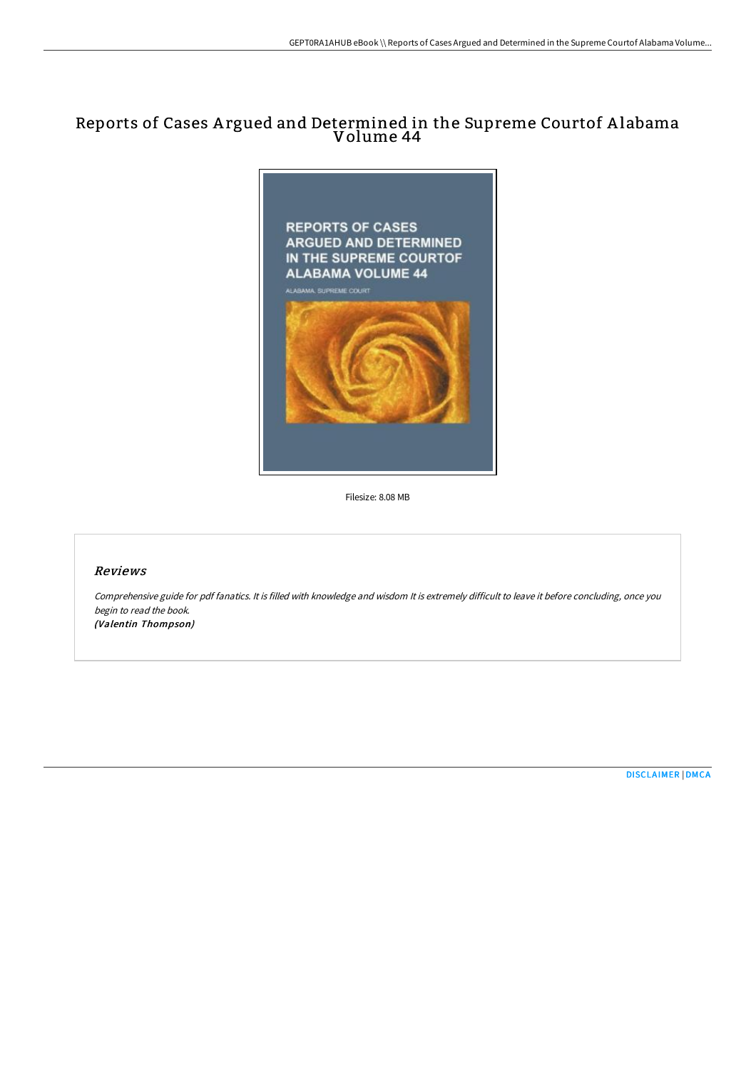## Reports of Cases A rgued and Determined in the Supreme Courtof A labama Volume 44



Filesize: 8.08 MB

## Reviews

Comprehensive guide for pdf fanatics. It is filled with knowledge and wisdom It is extremely difficult to leave it before concluding, once you begin to read the book. (Valentin Thompson)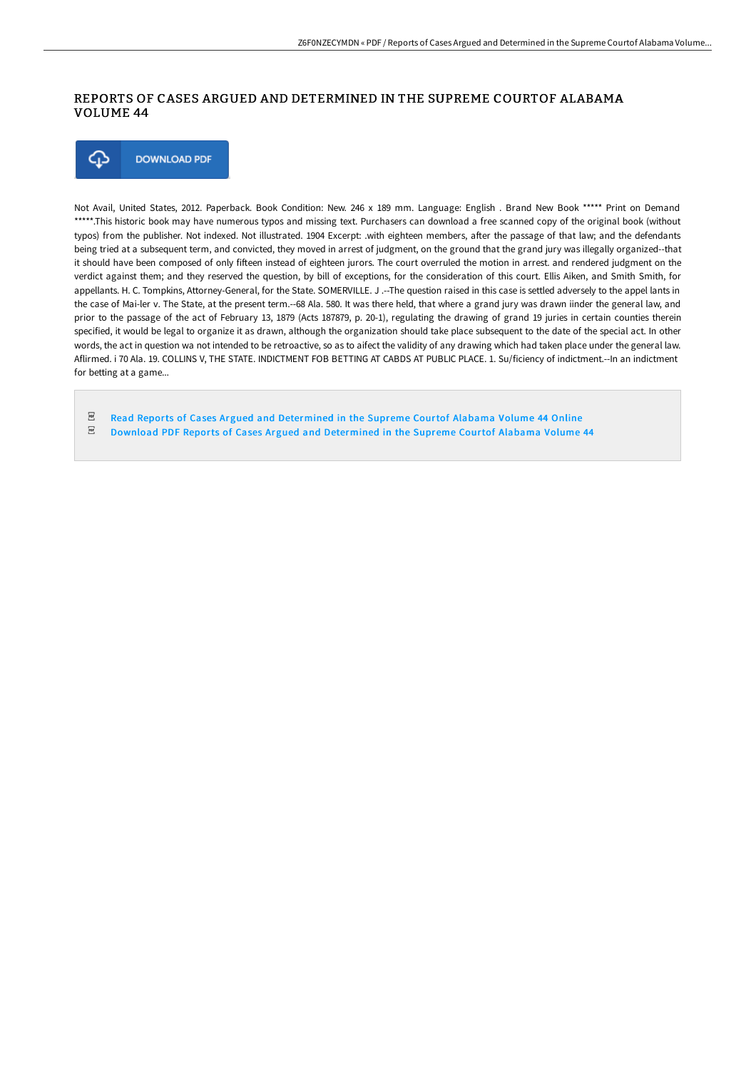## REPORTS OF CASES ARGUED AND DETERMINED IN THE SUPREME COURTOF ALABAMA VOLUME 44



Not Avail, United States, 2012. Paperback. Book Condition: New. 246 x 189 mm. Language: English . Brand New Book \*\*\*\*\* Print on Demand \*\*\*\*\*.This historic book may have numerous typos and missing text. Purchasers can download a free scanned copy of the original book (without typos) from the publisher. Not indexed. Not illustrated. 1904 Excerpt: .with eighteen members, after the passage of that law; and the defendants being tried at a subsequent term, and convicted, they moved in arrest of judgment, on the ground that the grand jury was illegally organized--that it should have been composed of only fifteen instead of eighteen jurors. The court overruled the motion in arrest. and rendered judgment on the verdict against them; and they reserved the question, by bill of exceptions, for the consideration of this court. Ellis Aiken, and Smith Smith, for appellants. H. C. Tompkins, Attorney-General, for the State. SOMERVILLE. J .--The question raised in this case is settled adversely to the appel lants in the case of Mai-ler v. The State, at the present term.--68 Ala. 580. It was there held, that where a grand jury was drawn iinder the general law, and prior to the passage of the act of February 13, 1879 (Acts 187879, p. 20-1), regulating the drawing of grand 19 juries in certain counties therein specified, it would be legal to organize it as drawn, although the organization should take place subsequent to the date of the special act. In other words, the act in question wa not intended to be retroactive, so as to aifect the validity of any drawing which had taken place under the general law. Aflirmed. i 70 Ala. 19. COLLINS V, THE STATE. INDICTMENT FOB BETTING AT CABDS AT PUBLIC PLACE. 1. Su/ficiency of indictment.--In an indictment for betting at a game...

 $_{\rm PDF}$ Read Reports of Cases Argued and [Determined](http://techno-pub.tech/reports-of-cases-argued-and-determined-in-the-su-26.html) in the Supreme Courtof Alabama Volume 44 Online  $_{\rm PDF}$ Download PDF Reports of Cases Argued and [Determined](http://techno-pub.tech/reports-of-cases-argued-and-determined-in-the-su-26.html) in the Supreme Courtof Alabama Volume 44